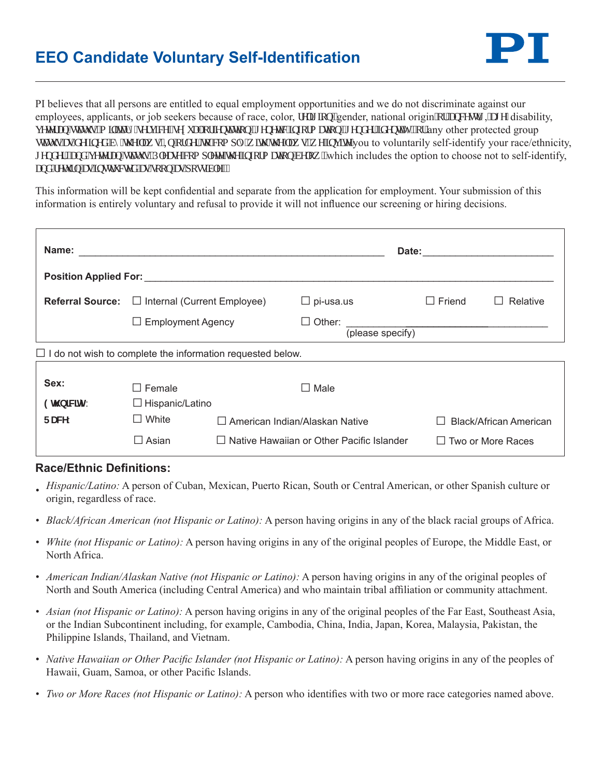## **EEO Candidate Voluntary Self-Identification**



PI believes that all persons are entitled to equal employment opportunities and we do not discriminate against our employees, applicants, or job seekers because of race, color, tgrki kqp."gender, national origin"qt"cpegut {,"ci g. disability, xgygtcp"uvcwu."o ktket {"ugtxleg."ugzwen"qtlgpvcvkqp."i gpgvle"kphqto cvkqp."i gpf gt"kfgpvkv{."qt"any other protected group uncwalcu'f ghlogf "d{'vj g'ncy u0Kp"qtf gt "vq"eqo r n{'y kyj "vj g'ncy u.'y g'loxkg"you to voluntarily self-identify your race/ethnicity, i gpf gt. "cpf "xgygtcp"uvcww.O'Rrgcug"eqo r rgyg"y g'kphqto cykqp"dgrqy. "which includes the option to choose not to self-identify, cpf "tgwtp"cu"kpuxtwexgf "cu"uqqp"cu"r quukdrg0"

This information will be kept confidential and separate from the application for employment. Your submission of this information is entirely voluntary and refusal to provide it will not influence our screening or hiring decisions.

| Name:                                                             |                                                 |                                                  |                            | Date:         |                        |  |
|-------------------------------------------------------------------|-------------------------------------------------|--------------------------------------------------|----------------------------|---------------|------------------------|--|
| <b>Position Applied For: Example 2018</b>                         |                                                 |                                                  |                            |               |                        |  |
| <b>Referral Source:</b>                                           | $\Box$ Internal (Current Employee)              |                                                  | $\Box$ pi-usa.us           | $\Box$ Friend | Relative               |  |
|                                                                   | $\Box$ Employment Agency                        |                                                  | Other:<br>(please specify) |               |                        |  |
| $\Box$ I do not wish to complete the information requested below. |                                                 |                                                  |                            |               |                        |  |
| Sex:<br>9h b]Wjm                                                  | $\Box$ Female<br>Male<br>$\Box$ Hispanic/Latino |                                                  |                            |               |                        |  |
| FUWY:                                                             | $\Box$ White                                    | $\Box$ American Indian/Alaskan Native            |                            |               | Black/African American |  |
|                                                                   | $\square$ Asian                                 | $\Box$ Native Hawaiian or Other Pacific Islander |                            |               | Two or More Races      |  |

## **Race/Ethnic Definitions:**

- *• Hispanic/Latino:* A person of Cuban, Mexican, Puerto Rican, South or Central American, or other Spanish culture or origin, regardless of race.
- *• Black/African American (not Hispanic or Latino):* A person having origins in any of the black racial groups of Africa.
- *• White (not Hispanic or Latino):* A person having origins in any of the original peoples of Europe, the Middle East, or North Africa.
- *• American Indian/Alaskan Native (not Hispanic or Latino):* A person having origins in any of the original peoples of North and South America (including Central America) and who maintain tribal affiliation or community attachment.
- *• Asian (not Hispanic or Latino):* A person having origins in any of the original peoples of the Far East, Southeast Asia, or the Indian Subcontinent including, for example, Cambodia, China, India, Japan, Korea, Malaysia, Pakistan, the Philippine Islands, Thailand, and Vietnam.
- *• Native Hawaiian or Other Pacific Islander (not Hispanic or Latino):* A person having origins in any of the peoples of Hawaii, Guam, Samoa, or other Pacific Islands.
- *• Two or More Races (not Hispanic or Latino):* A person who identifies with two or more race categories named above.